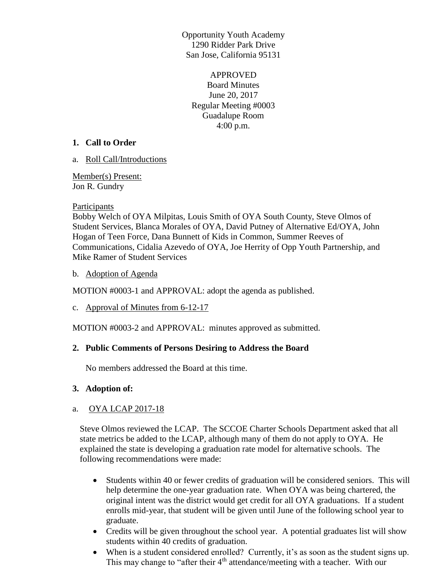Opportunity Youth Academy 1290 Ridder Park Drive San Jose, California 95131

APPROVED Board Minutes June 20, 2017 Regular Meeting #0003 Guadalupe Room 4:00 p.m.

#### **1. Call to Order**

a. Roll Call/Introductions

Member(s) Present: Jon R. Gundry

## **Participants**

Bobby Welch of OYA Milpitas, Louis Smith of OYA South County, Steve Olmos of Student Services, Blanca Morales of OYA, David Putney of Alternative Ed/OYA, John Hogan of Teen Force, Dana Bunnett of Kids in Common, Summer Reeves of Communications, Cidalia Azevedo of OYA, Joe Herrity of Opp Youth Partnership, and Mike Ramer of Student Services

## b. Adoption of Agenda

MOTION #0003-1 and APPROVAL: adopt the agenda as published.

c. Approval of Minutes from 6-12-17

MOTION #0003-2 and APPROVAL: minutes approved as submitted.

# **2. Public Comments of Persons Desiring to Address the Board**

No members addressed the Board at this time.

# **3. Adoption of:**

# a. OYA LCAP 2017-18

Steve Olmos reviewed the LCAP. The SCCOE Charter Schools Department asked that all state metrics be added to the LCAP, although many of them do not apply to OYA. He explained the state is developing a graduation rate model for alternative schools. The following recommendations were made:

- Students within 40 or fewer credits of graduation will be considered seniors. This will help determine the one-year graduation rate. When OYA was being chartered, the original intent was the district would get credit for all OYA graduations. If a student enrolls mid-year, that student will be given until June of the following school year to graduate.
- Credits will be given throughout the school year. A potential graduates list will show students within 40 credits of graduation.
- When is a student considered enrolled? Currently, it's as soon as the student signs up. This may change to "after their  $4<sup>th</sup>$  attendance/meeting with a teacher. With our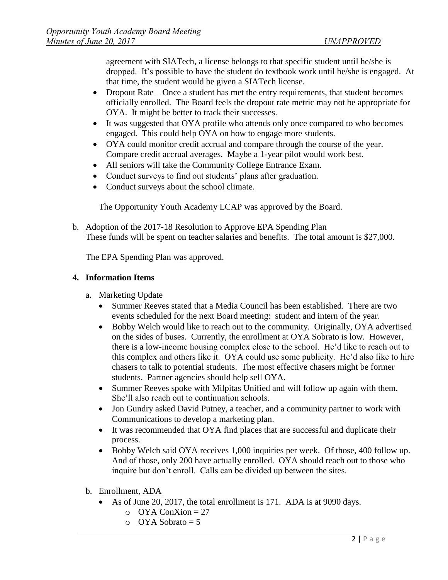agreement with SIATech, a license belongs to that specific student until he/she is dropped. It's possible to have the student do textbook work until he/she is engaged. At that time, the student would be given a SIATech license.

- Dropout Rate Once a student has met the entry requirements, that student becomes officially enrolled. The Board feels the dropout rate metric may not be appropriate for OYA. It might be better to track their successes.
- It was suggested that OYA profile who attends only once compared to who becomes engaged. This could help OYA on how to engage more students.
- OYA could monitor credit accrual and compare through the course of the year. Compare credit accrual averages. Maybe a 1-year pilot would work best.
- All seniors will take the Community College Entrance Exam.
- Conduct surveys to find out students' plans after graduation.
- Conduct surveys about the school climate.

The Opportunity Youth Academy LCAP was approved by the Board.

b. Adoption of the 2017-18 Resolution to Approve EPA Spending Plan These funds will be spent on teacher salaries and benefits. The total amount is \$27,000.

The EPA Spending Plan was approved.

## **4. Information Items**

- a. Marketing Update
	- Summer Reeves stated that a Media Council has been established. There are two events scheduled for the next Board meeting: student and intern of the year.
	- Bobby Welch would like to reach out to the community. Originally, OYA advertised on the sides of buses. Currently, the enrollment at OYA Sobrato is low. However, there is a low-income housing complex close to the school. He'd like to reach out to this complex and others like it. OYA could use some publicity. He'd also like to hire chasers to talk to potential students. The most effective chasers might be former students. Partner agencies should help sell OYA.
	- Summer Reeves spoke with Milpitas Unified and will follow up again with them. She'll also reach out to continuation schools.
	- Jon Gundry asked David Putney, a teacher, and a community partner to work with Communications to develop a marketing plan.
	- It was recommended that OYA find places that are successful and duplicate their process.
	- Bobby Welch said OYA receives 1,000 inquiries per week. Of those, 400 follow up. And of those, only 200 have actually enrolled. OYA should reach out to those who inquire but don't enroll. Calls can be divided up between the sites.
- b. Enrollment, ADA
	- As of June 20, 2017, the total enrollment is 171. ADA is at 9090 days.
		- $O<sub>YA</sub> ConXion = 27$
		- $O<sub>Y</sub>$  OYA Sobrato = 5